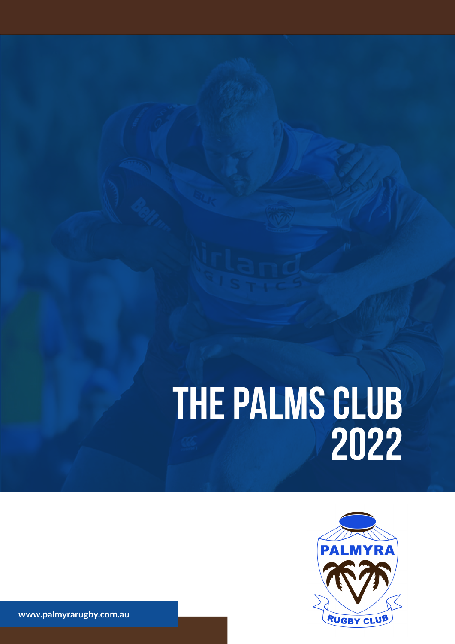# **THE PALMS CLUB 2022**



www.palmyrarugby.com.au **www.palmyrarugby.com.au**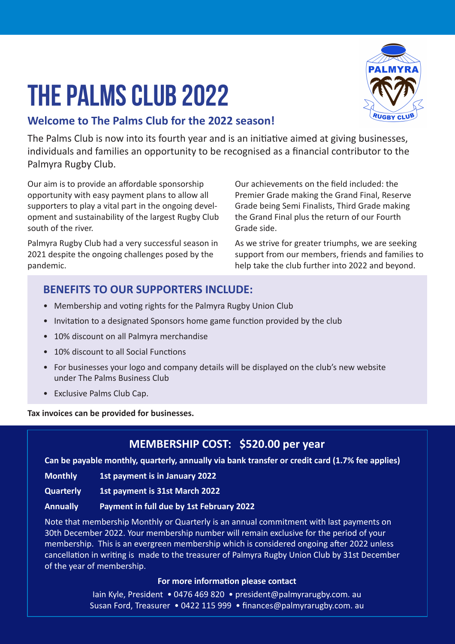## **THE PALMS CLUB 2022**



#### **Welcome to The Palms Club for the 2022 season!**

The Palms Club is now into its fourth year and is an initiative aimed at giving businesses, individuals and families an opportunity to be recognised as a financial contributor to the Palmyra Rugby Club.

Our aim is to provide an affordable sponsorship opportunity with easy payment plans to allow all supporters to play a vital part in the ongoing development and sustainability of the largest Rugby Club south of the river.

Palmyra Rugby Club had a very successful season in 2021 despite the ongoing challenges posed by the pandemic.

Our achievements on the field included: the Premier Grade making the Grand Final, Reserve Grade being Semi Finalists, Third Grade making the Grand Final plus the return of our Fourth Grade side.

As we strive for greater triumphs, we are seeking support from our members, friends and families to help take the club further into 2022 and beyond.

#### **BENEFITS TO OUR SUPPORTERS INCLUDE:**

- Membership and voting rights for the Palmyra Rugby Union Club
- Invitation to a designated Sponsors home game function provided by the club
- 10% discount on all Palmyra merchandise
- 10% discount to all Social Functions
- For businesses your logo and company details will be displayed on the club's new website under The Palms Business Club
- Exclusive Palms Club Cap.

**Tax invoices can be provided for businesses.**

#### **MEMBERSHIP COST: \$520.00 per year**

**Can be payable monthly, quarterly, annually via bank transfer or credit card (1.7% fee applies)** 

- **Monthly 1st payment is in January 2022**
- **Quarterly 1st payment is 31st March 2022**
- **Annually Payment in full due by 1st February 2022**

Note that membership Monthly or Quarterly is an annual commitment with last payments on 30th December 2022. Your membership number will remain exclusive for the period of your membership. This is an evergreen membership which is considered ongoing after 2022 unless cancellation in writing is made to the treasurer of Palmyra Rugby Union Club by 31st December of the year of membership.

#### **For more information please contact**

Iain Kyle, President • 0476 469 820 • president@palmyrarugby.com. au Susan Ford, Treasurer • 0422 115 999 • finances@palmyrarugby.com. au